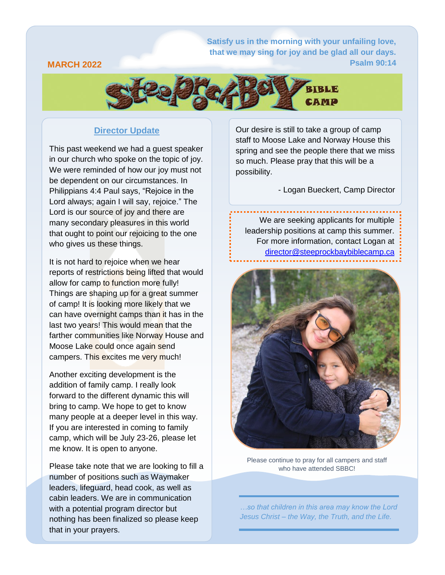**Satisfy [us in the morning with your unfailing love,](https://attachment.outlook.live.net/owa/babrahamson@mymts.net/service.svc/s/GetAttachmentThumbnail?id=AQMkADAwATMwMAItOTYzNy03OWU5LTAwAi0wMAoARgAAAziNM9N2L7ZHj3UzkGlxZT4HADs%2BxeWW398AToarRDhoYRQuAAACAQ8AAADyWj1tZ4piR57gYxshuowtAAIM17wLAAAAARIAEACu0uWWjNymRIGUZy6IaWP6&thumbnailType=2&owa=outlook.live.com&scriptVer=2019081802.10&isc=1&X-OWA-CANARY=9eEvL0U8_Emj3b20LgV7oHAYdLyyLNcYDeHfE4yJtIa4bSeUSCh5jKYPfE-d5S5e9uqqTwkZn-0.&token=eyJhbGciOiJSUzI1NiIsImtpZCI6IjA2MDBGOUY2NzQ2MjA3MzdFNzM0MDRFMjg3QzQ1QTgxOENCN0NFQjgiLCJ4NXQiOiJCZ0Q1OW5SaUJ6Zm5OQVRpaDhSYWdZeTN6cmciLCJ0eXAiOiJKV1QifQ.eyJvcmlnaW4iOiJodHRwczovL291dGxvb2subGl2ZS5jb20iLCJ2ZXIiOiJFeGNoYW5nZS5DYWxsYmFjay5WMSIsImFwcGN0eHNlbmRlciI6Ik93YURvd25sb2FkQDg0ZGY5ZTdmLWU5ZjYtNDBhZi1iNDM1LWFhYWFhYWFhYWFhYSIsImFwcGN0eCI6IntcIm1zZXhjaHByb3RcIjpcIm93YVwiLFwicHJpbWFyeXNpZFwiOlwiUy0xLTI4MjctMTk2NjA4LTI1MjAyMTgwODlcIixcInB1aWRcIjpcIjg0NDQyNzQ1MDM1MDA1N1wiLFwib2lkXCI6XCIwMDAzMDAwMC05NjM3LTc5ZTktMDAwMC0wMDAwMDAwMDAwMDBcIixcInNjb3BlXCI6XCJPd2FEb3dubG9hZFwifSIsIm5iZiI6MTU2NzEwNDc4MSwiZXhwIjoxNTY3MTA1MzgxLCJpc3MiOiIwMDAwMDAwMi0wMDAwLTBmZjEtY2UwMC0wMDAwMDAwMDAwMDBAODRkZjllN2YtZTlmNi00MGFmLWI0MzUtYWFhYWFhYWFhYWFhIiwiYXVkIjoiMDAwMDAwMDItMDAwMC0wZmYxLWNlMDAtMDAwMDAwMDAwMDAwL2F0dGFjaG1lbnQub3V0bG9vay5saXZlLm5ldEA4NGRmOWU3Zi1lOWY2LTQwYWYtYjQzNS1hYWFhYWFhYWFhYWEifQ.fXq2H_jpuLAZAqTydeaRpapUiJho6SVXEOWYsaEFgmIWZySBwRk2sl6dLqTZ-MgYfDrMPhJu0PFMd6yYrc0cjv0JQzTTALqsTVUyTLSVQP0FVZpv_l1l_mEacv-e4qc3iSNSQ6y9L92cDxUEu8OaVB99Lga-cJKvgv57p3cwpNE35YVu8GeD0WKy9eKve6x6xgNaSNZTsiAPiX9XTk6iJl3Kfe1BM4lGYO5eL_7ShNszQ7UAjMIMdRSR2iYmxrf3reurvYxkWfvf6nDuluQ0c5S27Q2ZZQ_1QmEABrdG-kzKhOd7xexImI8LAIdfNKJ84yRfNecKLweOdH06tBUEPQ&animation=true) that we may sing for joy and be glad all our days. Psalm 90:14**

#### **MARCH 2022**



### **Director Update**

This past weekend we had a guest speaker in our church who spoke on the topic of joy. We were reminded of how our joy must not be dependent on our circumstances. In Philippians 4:4 Paul says, "Rejoice in the Lord always; again I will say, rejoice." The Lord is our source of joy and there are many secondary pleasures in this world that ought to point our rejoicing to the one who gives us these things.

It is not hard to rejoice when we hear reports of restrictions being lifted that would allow for camp to function more fully! Things are shaping up for a great summer of camp! It is looking more likely that we can have overnight camps than it has in the last two years! This would mean that the farther communities like Norway House and Moose Lake could once again send campers. This excites me very much!

Another exciting development is the addition of family camp. I really look forward to the different dynamic this will bring to camp. We hope to get to know many people at a deeper level in this way. If you are interested in coming to family camp, which will be July 23-26, please let me know. It is open to anyone.

Please take note that we are looking to fill a number of positions such as Waymaker leaders, lifeguard, head cook, as well as cabin leaders. We are in communication with a potential program director but nothing has been finalized so please keep that in your prayers.

Our desire is still to take a group of camp staff to Moose Lake and Norway House this spring and see the people there that we miss so much. Please pray that this will be a possibility.

- Logan Bueckert, Camp Director

We are seeking applicants for multiple leadership positions at camp this summer. For more information, contact Logan at [director@steeprockbaybiblecamp.ca](mailto:director@steeprockbaybiblecamp.ca)



Please continue to pray for all campers and staff who have attended SBBC!

*…so that children in this area may know the Lord Jesus Christ – the Way, the Truth, and the Life.*